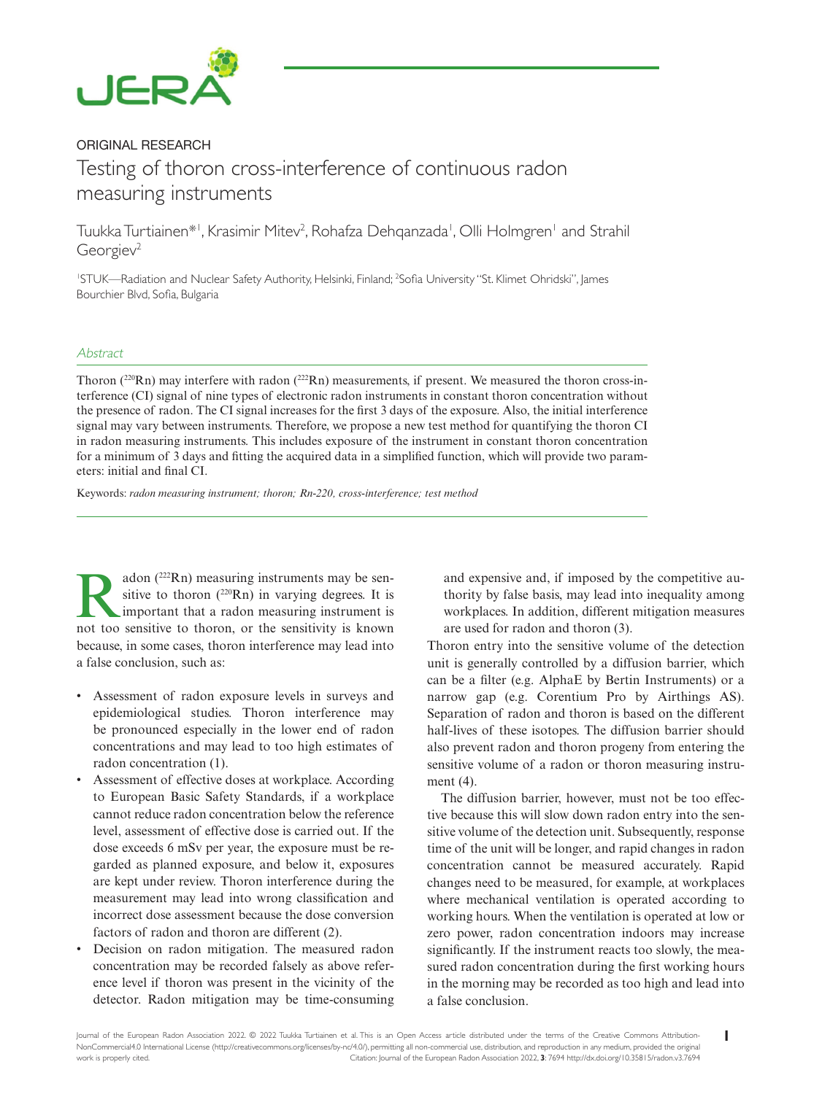

# ORIGINAL RESEARCH Testing of thoron cross-interference of continuous radon measuring instruments

Tuukka Turtiainen\*', Krasimir Mitev<sup>2</sup>, Rohafza Dehqanzada', Olli Holmgren' and Strahil Georgiev<sup>2</sup>

1 STUK—Radiation and Nuclear Safety Authority, Helsinki, Finland; 2 Sofia University "St. Klimet Ohridski", James Bourchier Blvd, Sofia, Bulgaria

#### Abstract

Thoron ( $220$ Rn) may interfere with radon ( $222$ Rn) measurements, if present. We measured the thoron cross-interference (CI) signal of nine types of electronic radon instruments in constant thoron concentration without the presence of radon. The CI signal increases for the first 3 days of the exposure. Also, the initial interference signal may vary between instruments. Therefore, we propose a new test method for quantifying the thoron CI in radon measuring instruments. This includes exposure of the instrument in constant thoron concentration for a minimum of 3 days and fitting the acquired data in a simplified function, which will provide two parameters: initial and final CI.

Keywords: *radon measuring instrument; thoron; Rn-220, cross-interference; test method*

**Radon** (<sup>222</sup>Rn) measuring instruments may be sensitive to thoron (<sup>220</sup>Rn) in varying degrees. It is important that a radon measuring instrument is not too sensitive to thoron or the sensitivity is known sitive to thoron  $(^{220}Rn)$  in varying degrees. It is important that a radon measuring instrument is not too sensitive to thoron, or the sensitivity is known because, in some cases, thoron interference may lead into a false conclusion, such as:

- Assessment of radon exposure levels in surveys and epidemiological studies. Thoron interference may be pronounced especially in the lower end of radon concentrations and may lead to too high estimates of radon concentration (1).
- Assessment of effective doses at workplace. According to European Basic Safety Standards, if a workplace cannot reduce radon concentration below the reference level, assessment of effective dose is carried out. If the dose exceeds 6 mSv per year, the exposure must be regarded as planned exposure, and below it, exposures are kept under review. Thoron interference during the measurement may lead into wrong classification and incorrect dose assessment because the dose conversion factors of radon and thoron are different (2).
- Decision on radon mitigation. The measured radon concentration may be recorded falsely as above reference level if thoron was present in the vicinity of the detector. Radon mitigation may be time-consuming

and expensive and, if imposed by the competitive authority by false basis, may lead into inequality among workplaces. In addition, different mitigation measures are used for radon and thoron (3).

Thoron entry into the sensitive volume of the detection unit is generally controlled by a diffusion barrier, which can be a filter (e.g. AlphaE by Bertin Instruments) or a narrow gap (e.g. Corentium Pro by Airthings AS). Separation of radon and thoron is based on the different half-lives of these isotopes. The diffusion barrier should also prevent radon and thoron progeny from entering the sensitive volume of a radon or thoron measuring instrument (4).

The diffusion barrier, however, must not be too effective because this will slow down radon entry into the sensitive volume of the detection unit. Subsequently, response time of the unit will be longer, and rapid changes in radon concentration cannot be measured accurately. Rapid changes need to be measured, for example, at workplaces where mechanical ventilation is operated according to working hours. When the ventilation is operated at low or zero power, radon concentration indoors may increase significantly. If the instrument reacts too slowly, the measured radon concentration during the first working hours in the morning may be recorded as too high and lead into a false conclusion.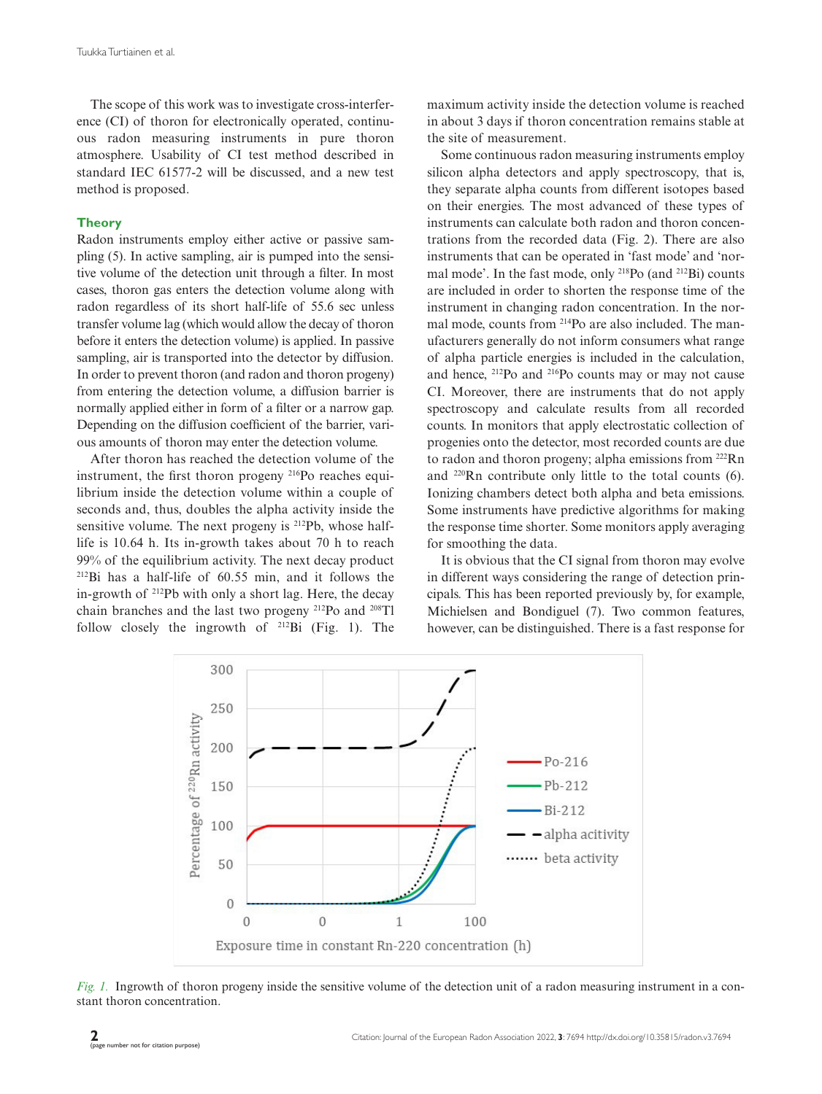The scope of this work was to investigate cross-interference (CI) of thoron for electronically operated, continuous radon measuring instruments in pure thoron atmosphere. Usability of CI test method described in standard IEC 61577-2 will be discussed, and a new test method is proposed.

# **Theory**

Radon instruments employ either active or passive sampling (5). In active sampling, air is pumped into the sensitive volume of the detection unit through a filter. In most cases, thoron gas enters the detection volume along with radon regardless of its short half-life of 55.6 sec unless transfer volume lag (which would allow the decay of thoron before it enters the detection volume) is applied. In passive sampling, air is transported into the detector by diffusion. In order to prevent thoron (and radon and thoron progeny) from entering the detection volume, a diffusion barrier is normally applied either in form of a filter or a narrow gap. Depending on the diffusion coefficient of the barrier, various amounts of thoron may enter the detection volume.

After thoron has reached the detection volume of the instrument, the first thoron progeny 216Po reaches equilibrium inside the detection volume within a couple of seconds and, thus, doubles the alpha activity inside the sensitive volume. The next progeny is <sup>212</sup>Pb, whose halflife is 10.64 h. Its in-growth takes about 70 h to reach 99% of the equilibrium activity. The next decay product 212Bi has a half-life of 60.55 min, and it follows the in-growth of  $^{212}Pb$  with only a short lag. Here, the decay chain branches and the last two progeny 212Po and 208Tl follow closely the ingrowth of 212Bi (Fig. 1). The

maximum activity inside the detection volume is reached in about 3 days if thoron concentration remains stable at the site of measurement.

Some continuous radon measuring instruments employ silicon alpha detectors and apply spectroscopy, that is, they separate alpha counts from different isotopes based on their energies. The most advanced of these types of instruments can calculate both radon and thoron concentrations from the recorded data (Fig. 2). There are also instruments that can be operated in 'fast mode' and 'normal mode'. In the fast mode, only 218Po (and 212Bi) counts are included in order to shorten the response time of the instrument in changing radon concentration. In the normal mode, counts from 214Po are also included. The manufacturers generally do not inform consumers what range of alpha particle energies is included in the calculation, and hence, 212Po and 216Po counts may or may not cause CI. Moreover, there are instruments that do not apply spectroscopy and calculate results from all recorded counts. In monitors that apply electrostatic collection of progenies onto the detector, most recorded counts are due to radon and thoron progeny; alpha emissions from 222Rn and 220Rn contribute only little to the total counts (6). Ionizing chambers detect both alpha and beta emissions. Some instruments have predictive algorithms for making the response time shorter. Some monitors apply averaging for smoothing the data.

It is obvious that the CI signal from thoron may evolve in different ways considering the range of detection principals. This has been reported previously by, for example, Michielsen and Bondiguel (7). Two common features, however, can be distinguished. There is a fast response for



*Fig. 1.* Ingrowth of thoron progeny inside the sensitive volume of the detection unit of a radon measuring instrument in a constant thoron concentration.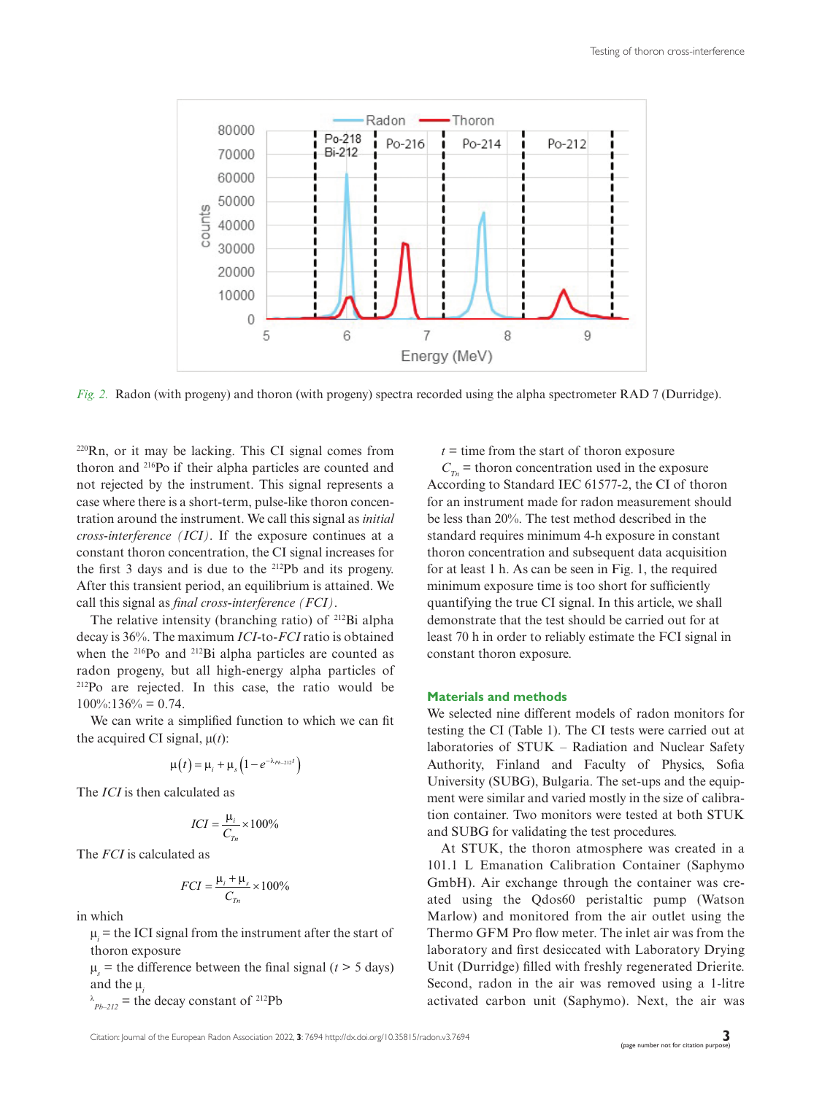

*Fig. 2.* Radon (with progeny) and thoron (with progeny) spectra recorded using the alpha spectrometer RAD 7 (Durridge).

220Rn, or it may be lacking. This CI signal comes from thoron and 216Po if their alpha particles are counted and not rejected by the instrument. This signal represents a case where there is a short-term, pulse-like thoron concentration around the instrument. We call this signal as *initial cross-interference (ICI)*. If the exposure continues at a constant thoron concentration, the CI signal increases for the first 3 days and is due to the 212Pb and its progeny. After this transient period, an equilibrium is attained. We call this signal as *final cross-interference (FCI)*.

The relative intensity (branching ratio) of 212Bi alpha decay is 36%. The maximum *ICI*-to-*FCI* ratio is obtained when the <sup>216</sup>Po and <sup>212</sup>Bi alpha particles are counted as radon progeny, but all high-energy alpha particles of 212Po are rejected. In this case, the ratio would be  $100\%$ :136% = 0.74.

We can write a simplified function to which we can fit the acquired CI signal,  $\mu(t)$ :

$$
\mu(t) = \mu_i + \mu_s \left(1 - e^{-\lambda_{Pb-212}t}\right)
$$

The *ICI* is then calculated as

$$
ICI = \frac{\mu_i}{C_{Tn}} \times 100\%
$$

The *FCI* is calculated as

$$
FCI = \frac{\mu_i + \mu_s}{C_{Tn}} \times 100\%
$$

in which

 $\mu_i$  = the ICI signal from the instrument after the start of thoron exposure

 $\mu_s$  = the difference between the final signal (*t* > 5 days) and the µ*<sup>i</sup>*

 $\lambda_{Pb-212}$  = the decay constant of <sup>212</sup>Pb

 $t =$  time from the start of thoron exposure

 $C_{T_n}$  = thoron concentration used in the exposure According to Standard IEC 61577-2, the CI of thoron for an instrument made for radon measurement should be less than 20%. The test method described in the standard requires minimum 4-h exposure in constant thoron concentration and subsequent data acquisition for at least 1 h. As can be seen in Fig. 1, the required minimum exposure time is too short for sufficiently quantifying the true CI signal. In this article, we shall demonstrate that the test should be carried out for at least 70 h in order to reliably estimate the FCI signal in constant thoron exposure.

## **Materials and methods**

We selected nine different models of radon monitors for testing the CI (Table 1). The CI tests were carried out at laboratories of STUK – Radiation and Nuclear Safety Authority, Finland and Faculty of Physics, Sofia University (SUBG), Bulgaria. The set-ups and the equipment were similar and varied mostly in the size of calibration container. Two monitors were tested at both STUK and SUBG for validating the test procedures.

At STUK, the thoron atmosphere was created in a 101.1 L Emanation Calibration Container (Saphymo GmbH). Air exchange through the container was created using the Qdos60 peristaltic pump (Watson Marlow) and monitored from the air outlet using the Thermo GFM Pro flow meter. The inlet air was from the laboratory and first desiccated with Laboratory Drying Unit (Durridge) filled with freshly regenerated Drierite. Second, radon in the air was removed using a 1-litre activated carbon unit (Saphymo). Next, the air was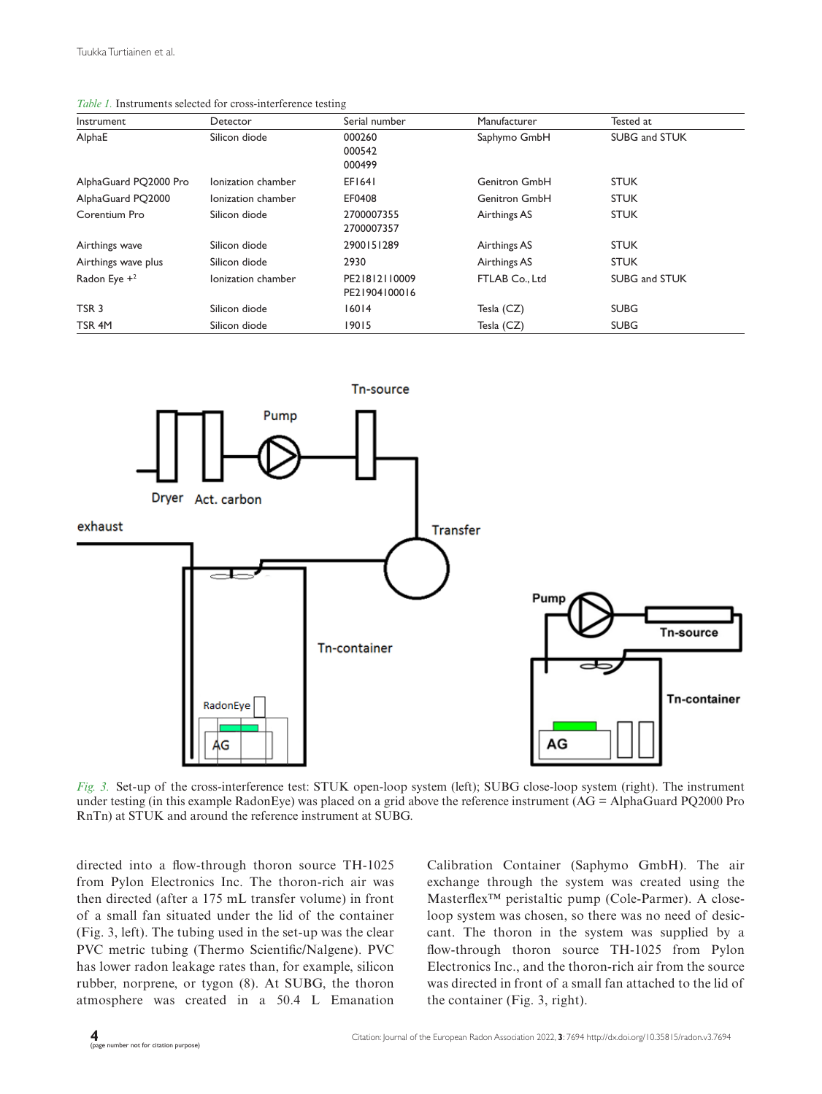| Table 1. Instruments selected for cross-interference testing |
|--------------------------------------------------------------|
|--------------------------------------------------------------|

| Instrument            | Detector           | Serial number                  | Manufacturer         | Tested at            |
|-----------------------|--------------------|--------------------------------|----------------------|----------------------|
| AlphaE                | Silicon diode      | 000260<br>000542<br>000499     | Saphymo GmbH         | SUBG and STUK        |
| AlphaGuard PQ2000 Pro | Ionization chamber | EF1641                         | <b>Genitron GmbH</b> | <b>STUK</b>          |
| AlphaGuard PO2000     | lonization chamber | EF0408                         | <b>Genitron GmbH</b> | <b>STUK</b>          |
| Corentium Pro         | Silicon diode      | 2700007355<br>2700007357       | Airthings AS         | <b>STUK</b>          |
| Airthings wave        | Silicon diode      | 2900151289                     | Airthings AS         | <b>STUK</b>          |
| Airthings wave plus   | Silicon diode      | 2930                           | Airthings AS         | <b>STUK</b>          |
| Radon Eye $+2$        | Ionization chamber | PE21812110009<br>PE21904100016 | FTLAB Co., Ltd       | <b>SUBG and STUK</b> |
| TSR <sub>3</sub>      | Silicon diode      | 16014                          | Tesla (CZ)           | <b>SUBG</b>          |
| TSR <sub>4M</sub>     | Silicon diode      | 19015                          | Tesla (CZ)           | <b>SUBG</b>          |



*Fig. 3.* Set-up of the cross-interference test: STUK open-loop system (left); SUBG close-loop system (right). The instrument under testing (in this example RadonEye) was placed on a grid above the reference instrument (AG = AlphaGuard PQ2000 Pro RnTn) at STUK and around the reference instrument at SUBG.

directed into a flow-through thoron source TH-1025 from Pylon Electronics Inc. The thoron-rich air was then directed (after a 175 mL transfer volume) in front of a small fan situated under the lid of the container (Fig. 3, left). The tubing used in the set-up was the clear PVC metric tubing (Thermo Scientific/Nalgene). PVC has lower radon leakage rates than, for example, silicon rubber, norprene, or tygon (8). At SUBG, the thoron atmosphere was created in a 50.4 L Emanation Calibration Container (Saphymo GmbH). The air exchange through the system was created using the Masterflex™ peristaltic pump (Cole-Parmer). A closeloop system was chosen, so there was no need of desiccant. The thoron in the system was supplied by a flow-through thoron source TH-1025 from Pylon Electronics Inc., and the thoron-rich air from the source was directed in front of a small fan attached to the lid of the container (Fig. 3, right).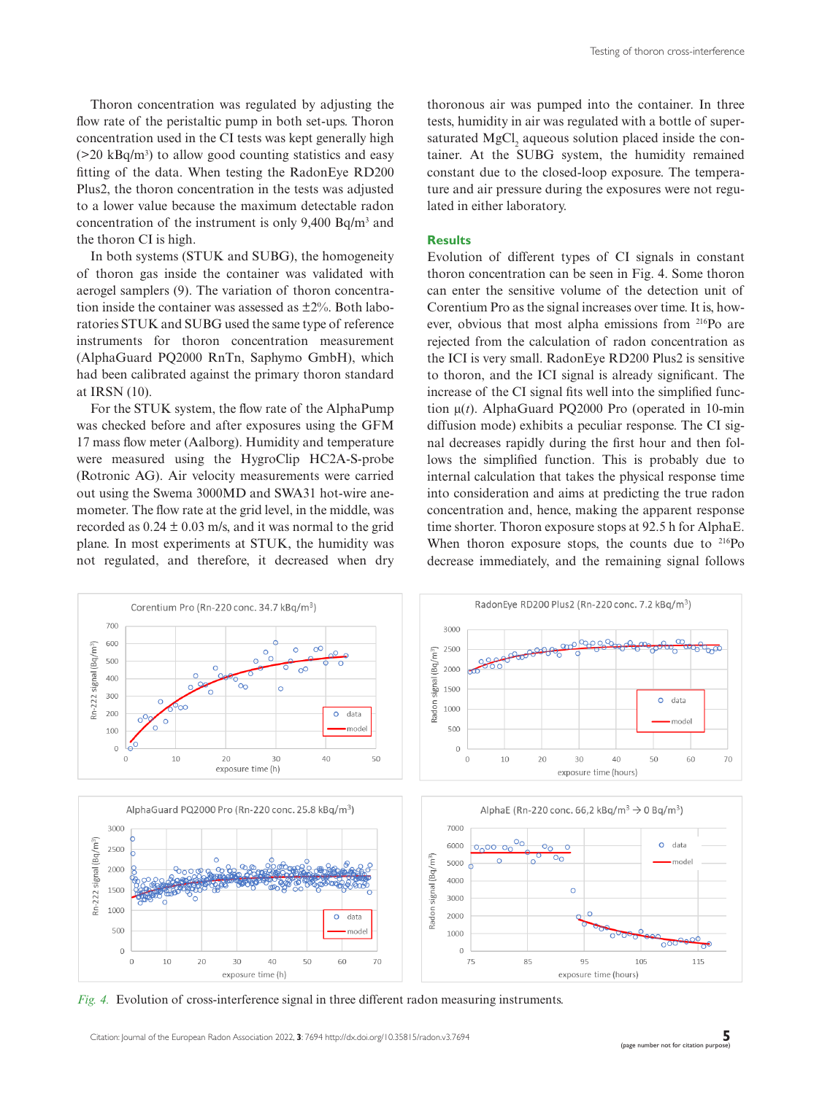Thoron concentration was regulated by adjusting the flow rate of the peristaltic pump in both set-ups. Thoron concentration used in the CI tests was kept generally high  $($ >20 kBq/m<sup>3</sup> $)$  to allow good counting statistics and easy fitting of the data. When testing the RadonEye RD200 Plus2, the thoron concentration in the tests was adjusted to a lower value because the maximum detectable radon concentration of the instrument is only  $9,400$  Bq/m<sup>3</sup> and the thoron CI is high.

In both systems (STUK and SUBG), the homogeneity of thoron gas inside the container was validated with aerogel samplers (9). The variation of thoron concentration inside the container was assessed as  $\pm 2\%$ . Both laboratories STUK and SUBG used the same type of reference instruments for thoron concentration measurement (AlphaGuard PQ2000 RnTn, Saphymo GmbH), which had been calibrated against the primary thoron standard at IRSN (10).

For the STUK system, the flow rate of the AlphaPump was checked before and after exposures using the GFM 17 mass flow meter (Aalborg). Humidity and temperature were measured using the HygroClip HC2A-S-probe (Rotronic AG). Air velocity measurements were carried out using the Swema 3000MD and SWA31 hot-wire anemometer. The flow rate at the grid level, in the middle, was recorded as  $0.24 \pm 0.03$  m/s, and it was normal to the grid plane. In most experiments at STUK, the humidity was not regulated, and therefore, it decreased when dry thoronous air was pumped into the container. In three tests, humidity in air was regulated with a bottle of supersaturated MgCl<sub>2</sub> aqueous solution placed inside the container. At the SUBG system, the humidity remained constant due to the closed-loop exposure. The temperature and air pressure during the exposures were not regulated in either laboratory.

#### **Results**

Evolution of different types of CI signals in constant thoron concentration can be seen in Fig. 4. Some thoron can enter the sensitive volume of the detection unit of Corentium Pro as the signal increases over time. It is, however, obvious that most alpha emissions from 216Po are rejected from the calculation of radon concentration as the ICI is very small. RadonEye RD200 Plus2 is sensitive to thoron, and the ICI signal is already significant. The increase of the CI signal fits well into the simplified function µ(*t*). AlphaGuard PQ2000 Pro (operated in 10-min diffusion mode) exhibits a peculiar response. The CI signal decreases rapidly during the first hour and then follows the simplified function. This is probably due to internal calculation that takes the physical response time into consideration and aims at predicting the true radon concentration and, hence, making the apparent response time shorter. Thoron exposure stops at 92.5 h for AlphaE. When thoron exposure stops, the counts due to <sup>216</sup>Po decrease immediately, and the remaining signal follows



*Fig. 4.* Evolution of cross-interference signal in three different radon measuring instruments.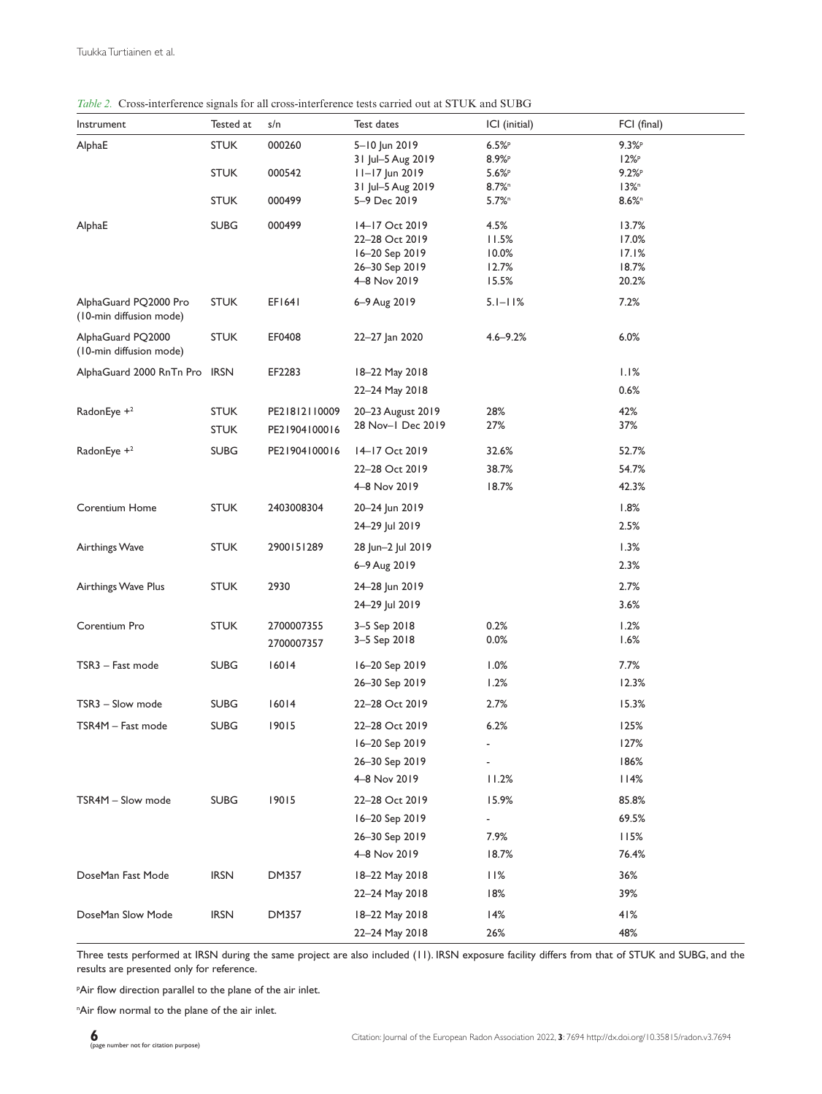|  | Table 2. Cross-interference signals for all cross-interference tests carried out at STUK and SUBG |  |  |
|--|---------------------------------------------------------------------------------------------------|--|--|
|  |                                                                                                   |  |  |

| Instrument                                       | Tested at   | s/n                      | Test dates                              | ICI (initial)                     | FCI (final)          |
|--------------------------------------------------|-------------|--------------------------|-----------------------------------------|-----------------------------------|----------------------|
| AlphaE                                           | <b>STUK</b> | 000260                   | 5-10 Jun 2019                           | 6.5%                              | 9.3%P                |
|                                                  | <b>STUK</b> | 000542                   | 31 Jul-5 Aug 2019                       | 8.9%P                             | $12\%P$<br>9.2%P     |
|                                                  |             |                          | $11 - 17$ Jun 2019<br>31 Jul-5 Aug 2019 | $5.6\%$ P<br>$8.7\%$ <sup>n</sup> | $13\%$ <sup>n</sup>  |
|                                                  | <b>STUK</b> | 000499                   | 5-9 Dec 2019                            | $5.7%$ <sup>n</sup>               | $8.6\%$ <sup>n</sup> |
| AlphaE                                           | <b>SUBG</b> | 000499                   | 14-17 Oct 2019                          | 4.5%                              | 13.7%                |
|                                                  |             |                          | 22–28 Oct 2019                          | 11.5%                             | 17.0%                |
|                                                  |             |                          | 16-20 Sep 2019                          | 10.0%                             | 17.1%                |
|                                                  |             |                          | 26-30 Sep 2019                          | 12.7%                             | 18.7%                |
|                                                  |             |                          | 4-8 Nov 2019                            | 15.5%                             | 20.2%                |
| AlphaGuard PQ2000 Pro<br>(10-min diffusion mode) | <b>STUK</b> | EF1641                   | 6-9 Aug 2019                            | $5.1 - 11%$                       | 7.2%                 |
| AlphaGuard PQ2000<br>(10-min diffusion mode)     | <b>STUK</b> | EF0408                   | 22-27 Jan 2020                          | $4.6 - 9.2%$                      | 6.0%                 |
| AlphaGuard 2000 RnTn Pro IRSN                    |             | EF2283                   | 18-22 May 2018                          |                                   | 1.1%                 |
|                                                  |             |                          | 22-24 May 2018                          |                                   | 0.6%                 |
| RadonEye + <sup>2</sup>                          | <b>STUK</b> | PE21812110009            | 20-23 August 2019                       | 28%                               | 42%                  |
|                                                  | <b>STUK</b> | PE21904100016            | 28 Nov-1 Dec 2019                       | 27%                               | 37%                  |
| RadonEye $+2$                                    | <b>SUBG</b> | PE21904100016            | 14-17 Oct 2019                          | 32.6%                             | 52.7%                |
|                                                  |             |                          | 22-28 Oct 2019                          | 38.7%                             | 54.7%                |
|                                                  |             |                          | 4-8 Nov 2019                            | 18.7%                             | 42.3%                |
| Corentium Home                                   | <b>STUK</b> | 2403008304               | 20-24 Jun 2019                          |                                   | 1.8%                 |
|                                                  |             |                          | 24-29 Jul 2019                          |                                   | 2.5%                 |
| Airthings Wave                                   | <b>STUK</b> | 2900151289               | 28 Jun-2 Jul 2019                       |                                   | 1.3%                 |
|                                                  |             |                          | 6–9 Aug 2019                            |                                   | 2.3%                 |
| Airthings Wave Plus                              | <b>STUK</b> | 2930                     | 24-28 Jun 2019                          |                                   | 2.7%                 |
|                                                  |             |                          | 24-29 Jul 2019                          |                                   | 3.6%                 |
| Corentium Pro                                    | <b>STUK</b> | 2700007355<br>2700007357 | 3-5 Sep 2018<br>3-5 Sep 2018            | 0.2%<br>0.0%                      | 1.2%<br>1.6%         |
| TSR3 - Fast mode                                 | <b>SUBG</b> | 16014                    | 16-20 Sep 2019                          | 1.0%                              | 7.7%                 |
|                                                  |             |                          | 26-30 Sep 2019                          | 1.2%                              | 12.3%                |
| TSR3 - Slow mode                                 | <b>SUBG</b> | 16014                    | 22-28 Oct 2019                          | 2.7%                              | 15.3%                |
| TSR4M – Fast mode                                | <b>SUBG</b> | 19015                    | 22-28 Oct 2019                          | 6.2%                              | 125%                 |
|                                                  |             |                          | 16-20 Sep 2019                          |                                   | 127%                 |
|                                                  |             |                          | 26-30 Sep 2019                          |                                   | 186%                 |
|                                                  |             |                          | 4-8 Nov 2019                            | 11.2%                             | 114%                 |
| TSR4M - Slow mode                                | <b>SUBG</b> | 19015                    | 22-28 Oct 2019                          | 15.9%                             | 85.8%                |
|                                                  |             |                          | 16-20 Sep 2019                          | ۰                                 | 69.5%                |
|                                                  |             |                          | 26-30 Sep 2019                          | 7.9%                              | 115%                 |
|                                                  |             |                          | 4-8 Nov 2019                            | 18.7%                             | 76.4%                |
| DoseMan Fast Mode                                | <b>IRSN</b> | <b>DM357</b>             | 18-22 May 2018                          | 11%                               | 36%                  |
|                                                  |             |                          | 22-24 May 2018                          | 18%                               | 39%                  |
| DoseMan Slow Mode                                | <b>IRSN</b> | DM357                    | 18-22 May 2018                          | 14%                               | 41%                  |
|                                                  |             |                          | 22-24 May 2018                          | 26%                               | 48%                  |

Three tests performed at IRSN during the same project are also included (11). IRSN exposure facility differs from that of STUK and SUBG, and the results are presented only for reference.

p Air flow direction parallel to the plane of the air inlet.

"Air flow normal to the plane of the air inlet.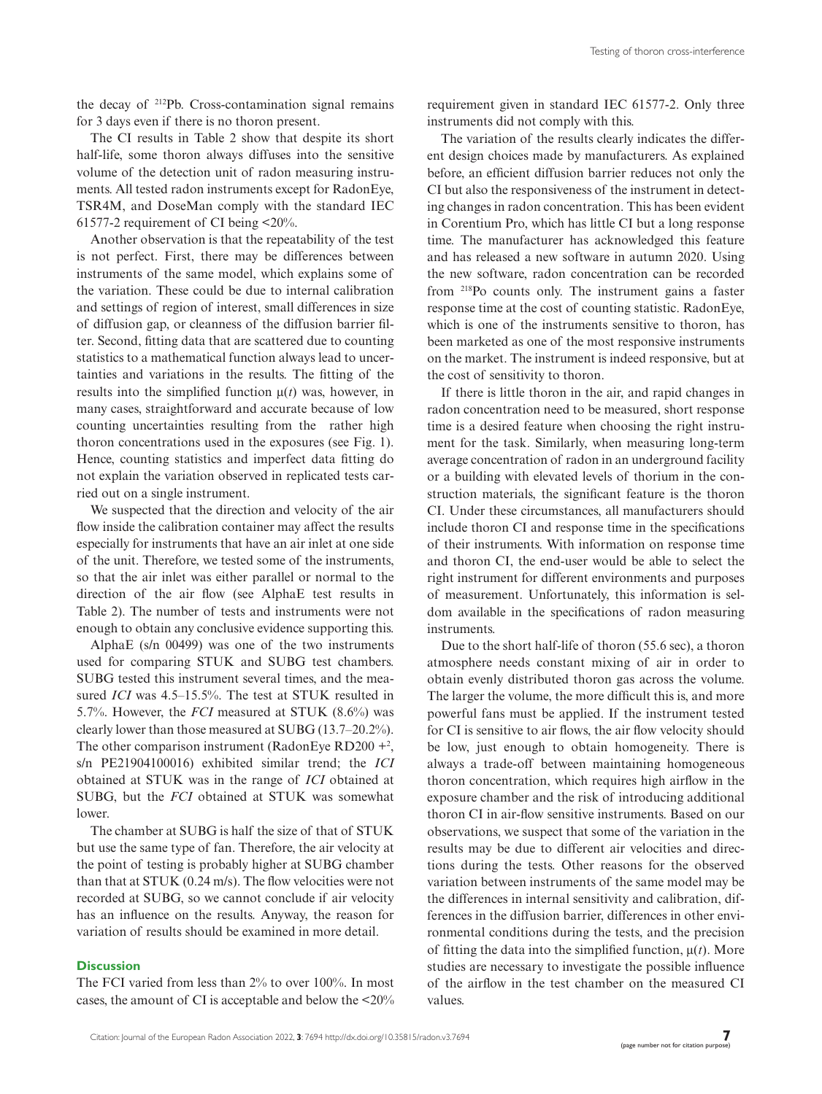the decay of 212Pb. Cross-contamination signal remains for 3 days even if there is no thoron present.

The CI results in Table 2 show that despite its short half-life, some thoron always diffuses into the sensitive volume of the detection unit of radon measuring instruments. All tested radon instruments except for RadonEye, TSR4M, and DoseMan comply with the standard IEC 61577-2 requirement of CI being <20%.

Another observation is that the repeatability of the test is not perfect. First, there may be differences between instruments of the same model, which explains some of the variation. These could be due to internal calibration and settings of region of interest, small differences in size of diffusion gap, or cleanness of the diffusion barrier filter. Second, fitting data that are scattered due to counting statistics to a mathematical function always lead to uncertainties and variations in the results. The fitting of the results into the simplified function  $\mu(t)$  was, however, in many cases, straightforward and accurate because of low counting uncertainties resulting from the rather high thoron concentrations used in the exposures (see Fig. 1). Hence, counting statistics and imperfect data fitting do not explain the variation observed in replicated tests carried out on a single instrument.

We suspected that the direction and velocity of the air flow inside the calibration container may affect the results especially for instruments that have an air inlet at one side of the unit. Therefore, we tested some of the instruments, so that the air inlet was either parallel or normal to the direction of the air flow (see AlphaE test results in Table 2). The number of tests and instruments were not enough to obtain any conclusive evidence supporting this.

AlphaE (s/n 00499) was one of the two instruments used for comparing STUK and SUBG test chambers. SUBG tested this instrument several times, and the measured *ICI* was 4.5–15.5%. The test at STUK resulted in 5.7%. However, the *FCI* measured at STUK (8.6%) was clearly lower than those measured at SUBG (13.7–20.2%). The other comparison instrument (RadonEye RD200  $+^2$ , s/n PE21904100016) exhibited similar trend; the *ICI* obtained at STUK was in the range of *ICI* obtained at SUBG, but the *FCI* obtained at STUK was somewhat lower.

The chamber at SUBG is half the size of that of STUK but use the same type of fan. Therefore, the air velocity at the point of testing is probably higher at SUBG chamber than that at STUK (0.24 m/s). The flow velocities were not recorded at SUBG, so we cannot conclude if air velocity has an influence on the results. Anyway, the reason for variation of results should be examined in more detail.

#### **Discussion**

The FCI varied from less than 2% to over 100%. In most cases, the amount of CI is acceptable and below the <20% requirement given in standard IEC 61577-2. Only three instruments did not comply with this.

The variation of the results clearly indicates the different design choices made by manufacturers. As explained before, an efficient diffusion barrier reduces not only the CI but also the responsiveness of the instrument in detecting changes in radon concentration. This has been evident in Corentium Pro, which has little CI but a long response time. The manufacturer has acknowledged this feature and has released a new software in autumn 2020. Using the new software, radon concentration can be recorded from 218Po counts only. The instrument gains a faster response time at the cost of counting statistic. RadonEye, which is one of the instruments sensitive to thoron, has been marketed as one of the most responsive instruments on the market. The instrument is indeed responsive, but at the cost of sensitivity to thoron.

If there is little thoron in the air, and rapid changes in radon concentration need to be measured, short response time is a desired feature when choosing the right instrument for the task. Similarly, when measuring long-term average concentration of radon in an underground facility or a building with elevated levels of thorium in the construction materials, the significant feature is the thoron CI. Under these circumstances, all manufacturers should include thoron CI and response time in the specifications of their instruments. With information on response time and thoron CI, the end-user would be able to select the right instrument for different environments and purposes of measurement. Unfortunately, this information is seldom available in the specifications of radon measuring instruments.

Due to the short half-life of thoron (55.6 sec), a thoron atmosphere needs constant mixing of air in order to obtain evenly distributed thoron gas across the volume. The larger the volume, the more difficult this is, and more powerful fans must be applied. If the instrument tested for CI is sensitive to air flows, the air flow velocity should be low, just enough to obtain homogeneity. There is always a trade-off between maintaining homogeneous thoron concentration, which requires high airflow in the exposure chamber and the risk of introducing additional thoron CI in air-flow sensitive instruments. Based on our observations, we suspect that some of the variation in the results may be due to different air velocities and directions during the tests. Other reasons for the observed variation between instruments of the same model may be the differences in internal sensitivity and calibration, differences in the diffusion barrier, differences in other environmental conditions during the tests, and the precision of fitting the data into the simplified function,  $\mu(t)$ . More studies are necessary to investigate the possible influence of the airflow in the test chamber on the measured CI values.